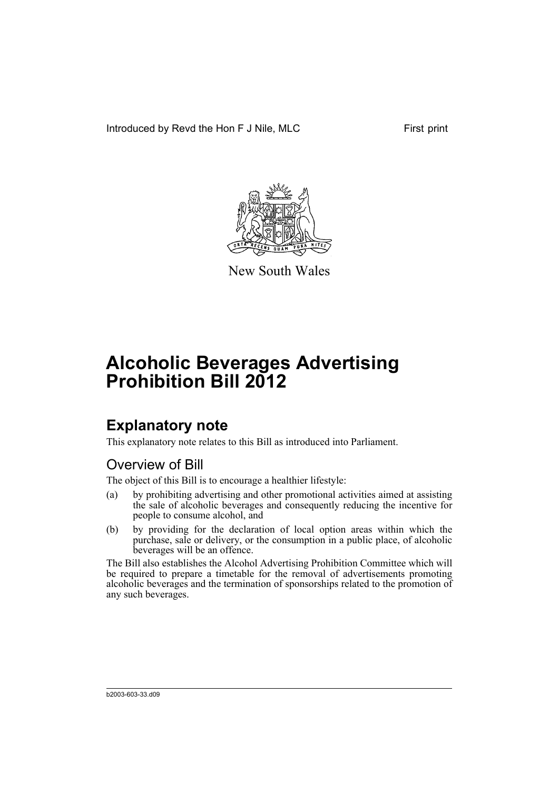Introduced by Revd the Hon F J Nile, MLC First print



New South Wales

# **Alcoholic Beverages Advertising Prohibition Bill 2012**

# **Explanatory note**

This explanatory note relates to this Bill as introduced into Parliament.

# Overview of Bill

The object of this Bill is to encourage a healthier lifestyle:

- (a) by prohibiting advertising and other promotional activities aimed at assisting the sale of alcoholic beverages and consequently reducing the incentive for people to consume alcohol, and
- (b) by providing for the declaration of local option areas within which the purchase, sale or delivery, or the consumption in a public place, of alcoholic beverages will be an offence.

The Bill also establishes the Alcohol Advertising Prohibition Committee which will be required to prepare a timetable for the removal of advertisements promoting alcoholic beverages and the termination of sponsorships related to the promotion of any such beverages.

b2003-603-33.d09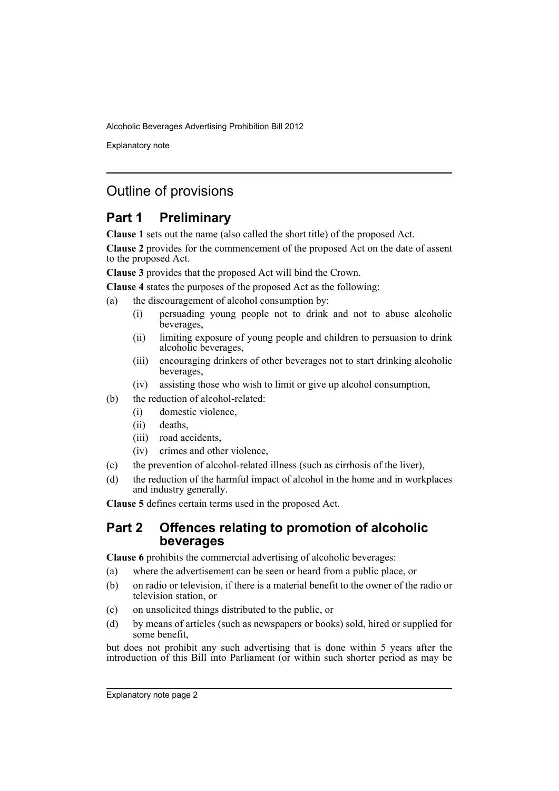Explanatory note

# Outline of provisions

# **Part 1 Preliminary**

**Clause 1** sets out the name (also called the short title) of the proposed Act.

**Clause 2** provides for the commencement of the proposed Act on the date of assent to the proposed Act.

**Clause 3** provides that the proposed Act will bind the Crown.

**Clause 4** states the purposes of the proposed Act as the following:

- (a) the discouragement of alcohol consumption by:
	- (i) persuading young people not to drink and not to abuse alcoholic beverages,
	- (ii) limiting exposure of young people and children to persuasion to drink alcoholic beverages,
	- (iii) encouraging drinkers of other beverages not to start drinking alcoholic beverages,
	- (iv) assisting those who wish to limit or give up alcohol consumption,
- (b) the reduction of alcohol-related:
	- (i) domestic violence,
	- (ii) deaths,
	- (iii) road accidents,
	- (iv) crimes and other violence,
- (c) the prevention of alcohol-related illness (such as cirrhosis of the liver),
- (d) the reduction of the harmful impact of alcohol in the home and in workplaces and industry generally.

**Clause 5** defines certain terms used in the proposed Act.

# **Part 2 Offences relating to promotion of alcoholic beverages**

**Clause 6** prohibits the commercial advertising of alcoholic beverages:

- (a) where the advertisement can be seen or heard from a public place, or
- (b) on radio or television, if there is a material benefit to the owner of the radio or television station, or
- (c) on unsolicited things distributed to the public, or
- (d) by means of articles (such as newspapers or books) sold, hired or supplied for some benefit,

but does not prohibit any such advertising that is done within 5 years after the introduction of this Bill into Parliament (or within such shorter period as may be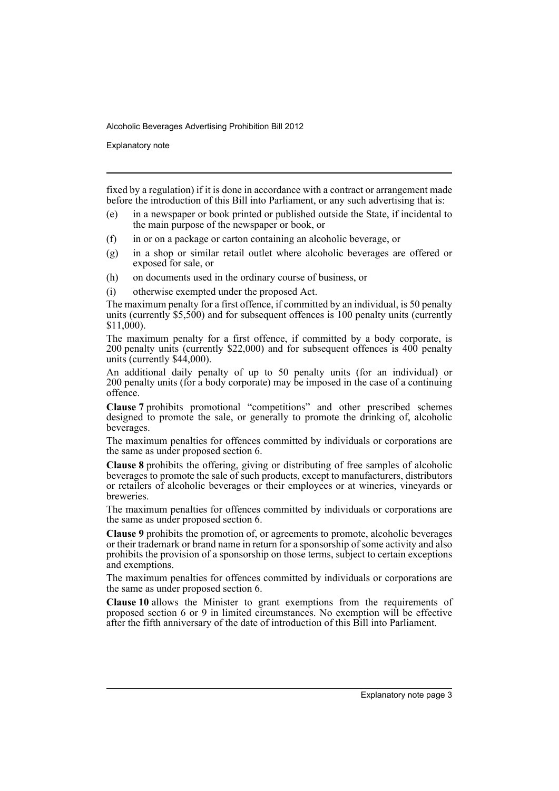Explanatory note

fixed by a regulation) if it is done in accordance with a contract or arrangement made before the introduction of this Bill into Parliament, or any such advertising that is:

- (e) in a newspaper or book printed or published outside the State, if incidental to the main purpose of the newspaper or book, or
- (f) in or on a package or carton containing an alcoholic beverage, or
- (g) in a shop or similar retail outlet where alcoholic beverages are offered or exposed for sale, or
- (h) on documents used in the ordinary course of business, or
- (i) otherwise exempted under the proposed Act.

The maximum penalty for a first offence, if committed by an individual, is 50 penalty units (currently  $$5,500$ ) and for subsequent offences is 100 penalty units (currently \$11,000).

The maximum penalty for a first offence, if committed by a body corporate, is 200 penalty units (currently \$22,000) and for subsequent offences is 400 penalty units (currently \$44,000).

An additional daily penalty of up to 50 penalty units (for an individual) or 200 penalty units (for a body corporate) may be imposed in the case of a continuing offence.

**Clause 7** prohibits promotional "competitions" and other prescribed schemes designed to promote the sale, or generally to promote the drinking of, alcoholic beverages.

The maximum penalties for offences committed by individuals or corporations are the same as under proposed section 6.

**Clause 8** prohibits the offering, giving or distributing of free samples of alcoholic beverages to promote the sale of such products, except to manufacturers, distributors or retailers of alcoholic beverages or their employees or at wineries, vineyards or breweries.

The maximum penalties for offences committed by individuals or corporations are the same as under proposed section 6.

**Clause 9** prohibits the promotion of, or agreements to promote, alcoholic beverages or their trademark or brand name in return for a sponsorship of some activity and also prohibits the provision of a sponsorship on those terms, subject to certain exceptions and exemptions.

The maximum penalties for offences committed by individuals or corporations are the same as under proposed section 6.

**Clause 10** allows the Minister to grant exemptions from the requirements of proposed section 6 or 9 in limited circumstances. No exemption will be effective after the fifth anniversary of the date of introduction of this Bill into Parliament.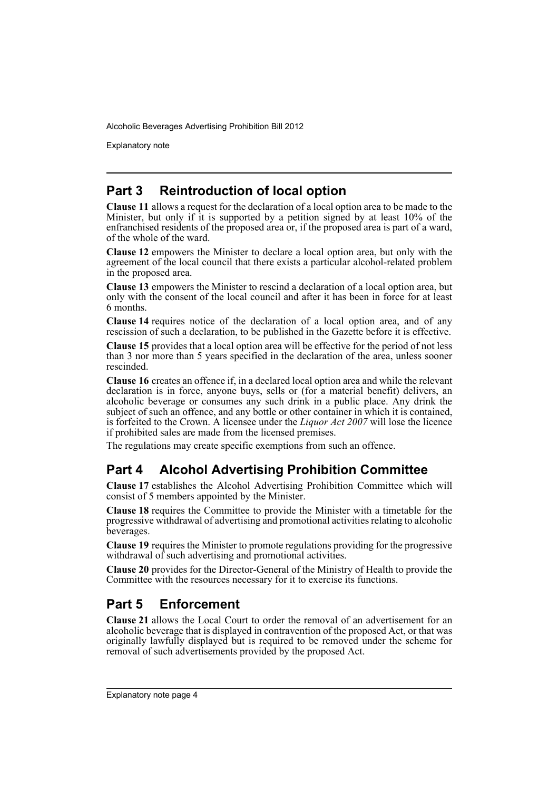Explanatory note

# **Part 3 Reintroduction of local option**

**Clause 11** allows a request for the declaration of a local option area to be made to the Minister, but only if it is supported by a petition signed by at least 10% of the enfranchised residents of the proposed area or, if the proposed area is part of a ward, of the whole of the ward.

**Clause 12** empowers the Minister to declare a local option area, but only with the agreement of the local council that there exists a particular alcohol-related problem in the proposed area.

**Clause 13** empowers the Minister to rescind a declaration of a local option area, but only with the consent of the local council and after it has been in force for at least 6 months.

**Clause 14** requires notice of the declaration of a local option area, and of any rescission of such a declaration, to be published in the Gazette before it is effective.

**Clause 15** provides that a local option area will be effective for the period of not less than 3 nor more than 5 years specified in the declaration of the area, unless sooner rescinded.

**Clause 16** creates an offence if, in a declared local option area and while the relevant declaration is in force, anyone buys, sells or (for a material benefit) delivers, an alcoholic beverage or consumes any such drink in a public place. Any drink the subject of such an offence, and any bottle or other container in which it is contained, is forfeited to the Crown. A licensee under the *Liquor Act 2007* will lose the licence if prohibited sales are made from the licensed premises.

The regulations may create specific exemptions from such an offence.

# **Part 4 Alcohol Advertising Prohibition Committee**

**Clause 17** establishes the Alcohol Advertising Prohibition Committee which will consist of 5 members appointed by the Minister.

**Clause 18** requires the Committee to provide the Minister with a timetable for the progressive withdrawal of advertising and promotional activities relating to alcoholic beverages.

**Clause 19** requires the Minister to promote regulations providing for the progressive withdrawal of such advertising and promotional activities.

**Clause 20** provides for the Director-General of the Ministry of Health to provide the Committee with the resources necessary for it to exercise its functions.

# **Part 5 Enforcement**

**Clause 21** allows the Local Court to order the removal of an advertisement for an alcoholic beverage that is displayed in contravention of the proposed Act, or that was originally lawfully displayed but is required to be removed under the scheme for removal of such advertisements provided by the proposed Act.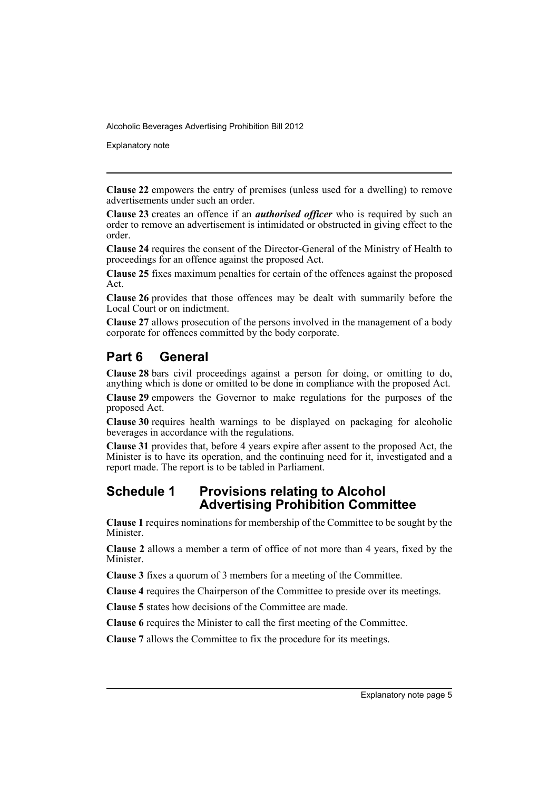Explanatory note

**Clause 22** empowers the entry of premises (unless used for a dwelling) to remove advertisements under such an order.

**Clause 23** creates an offence if an *authorised officer* who is required by such an order to remove an advertisement is intimidated or obstructed in giving effect to the order.

**Clause 24** requires the consent of the Director-General of the Ministry of Health to proceedings for an offence against the proposed Act.

**Clause 25** fixes maximum penalties for certain of the offences against the proposed Act.

**Clause 26** provides that those offences may be dealt with summarily before the Local Court or on indictment.

**Clause 27** allows prosecution of the persons involved in the management of a body corporate for offences committed by the body corporate.

# **Part 6 General**

**Clause 28** bars civil proceedings against a person for doing, or omitting to do, anything which is done or omitted to be done in compliance with the proposed Act.

**Clause 29** empowers the Governor to make regulations for the purposes of the proposed Act.

**Clause 30** requires health warnings to be displayed on packaging for alcoholic beverages in accordance with the regulations.

**Clause 31** provides that, before 4 years expire after assent to the proposed Act, the Minister is to have its operation, and the continuing need for it, investigated and a report made. The report is to be tabled in Parliament.

# **Schedule 1 Provisions relating to Alcohol Advertising Prohibition Committee**

**Clause 1** requires nominations for membership of the Committee to be sought by the **Minister** 

**Clause 2** allows a member a term of office of not more than 4 years, fixed by the Minister.

**Clause 3** fixes a quorum of 3 members for a meeting of the Committee.

**Clause 4** requires the Chairperson of the Committee to preside over its meetings.

**Clause 5** states how decisions of the Committee are made.

**Clause 6** requires the Minister to call the first meeting of the Committee.

**Clause 7** allows the Committee to fix the procedure for its meetings.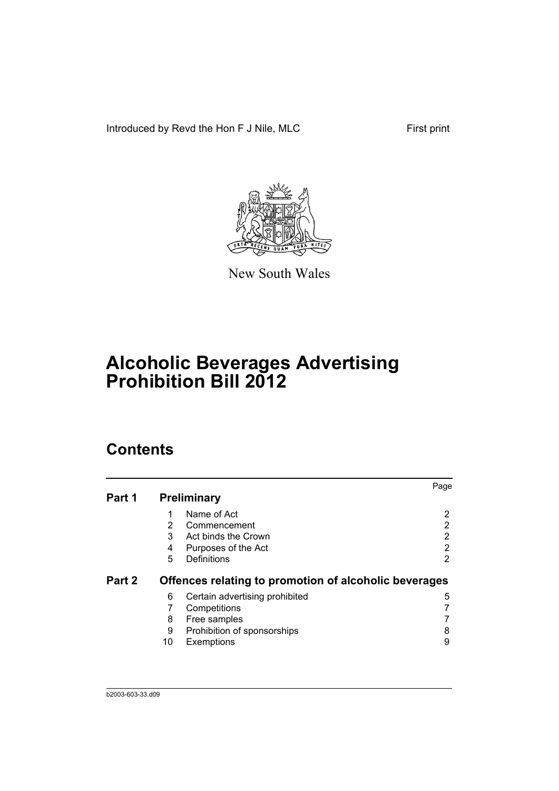Introduced by Revd the Hon F J Nile, MLC First print



New South Wales

# **Alcoholic Beverages Advertising Prohibition Bill 2012**

# **Contents**

|        |    |                                                       | Page |
|--------|----|-------------------------------------------------------|------|
| Part 1 |    | Preliminary                                           |      |
|        | 1  | Name of Act                                           | 2    |
|        | 2  | Commencement                                          | 2    |
|        | 3  | Act binds the Crown                                   | 2    |
|        | 4  | Purposes of the Act                                   | 2    |
|        | 5  | Definitions                                           | 2    |
| Part 2 |    | Offences relating to promotion of alcoholic beverages |      |
|        | 6  | Certain advertising prohibited                        | 5    |
|        | 7  | Competitions                                          |      |
|        | 8  | Free samples                                          |      |
|        | 9  | Prohibition of sponsorships                           | 8    |
|        | 10 | Exemptions                                            | 9    |
|        |    |                                                       |      |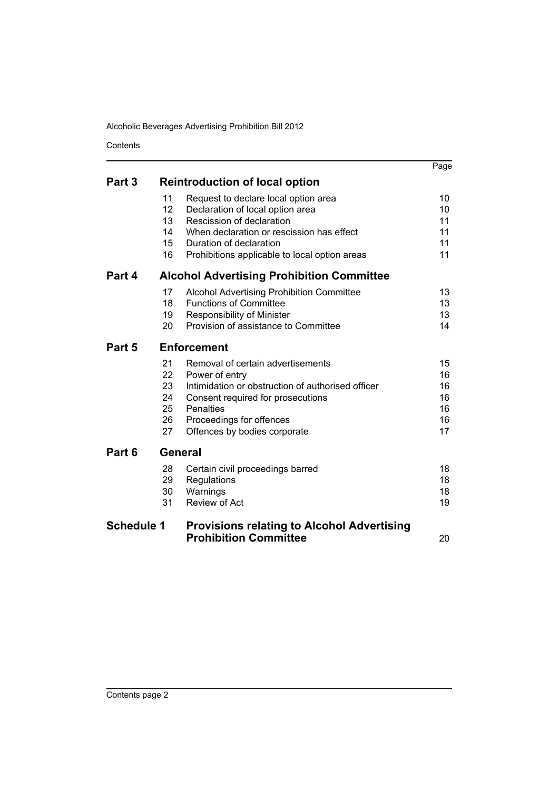Contents

|                                                            |                 |                                                   | Page |
|------------------------------------------------------------|-----------------|---------------------------------------------------|------|
| Part 3                                                     |                 | <b>Reintroduction of local option</b>             |      |
|                                                            | 11              | Request to declare local option area              | 10   |
|                                                            | 12 <sup>2</sup> | Declaration of local option area                  | 10   |
|                                                            | 13              | Rescission of declaration                         | 11   |
|                                                            | 14              | When declaration or rescission has effect         | 11   |
|                                                            | $15\,$          | Duration of declaration                           | 11   |
|                                                            | 16              | Prohibitions applicable to local option areas     | 11   |
| Part 4<br><b>Alcohol Advertising Prohibition Committee</b> |                 |                                                   |      |
|                                                            | 17              | <b>Alcohol Advertising Prohibition Committee</b>  | 13   |
|                                                            | 18              | <b>Functions of Committee</b>                     | 13   |
|                                                            | 19              | Responsibility of Minister                        | 13   |
|                                                            | 20              | Provision of assistance to Committee              | 14   |
| Part 5                                                     |                 | <b>Enforcement</b>                                |      |
|                                                            | 21              | Removal of certain advertisements                 | 15   |
|                                                            | 22              | Power of entry                                    | 16   |
|                                                            | 23              | Intimidation or obstruction of authorised officer | 16   |
|                                                            | 24              | Consent required for prosecutions                 | 16   |
|                                                            | 25              | <b>Penalties</b>                                  | 16   |
|                                                            | 26              | Proceedings for offences                          | 16   |
|                                                            | 27              | Offences by bodies corporate                      | 17   |
| Part 6                                                     | General         |                                                   |      |
|                                                            | 28              | Certain civil proceedings barred                  | 18   |
|                                                            | 29              | Regulations                                       | 18   |
|                                                            | 30              | Warnings                                          | 18   |
|                                                            | 31              | <b>Review of Act</b>                              | 19   |
| <b>Schedule 1</b>                                          |                 | <b>Provisions relating to Alcohol Advertising</b> |      |
|                                                            |                 | <b>Prohibition Committee</b>                      | 20   |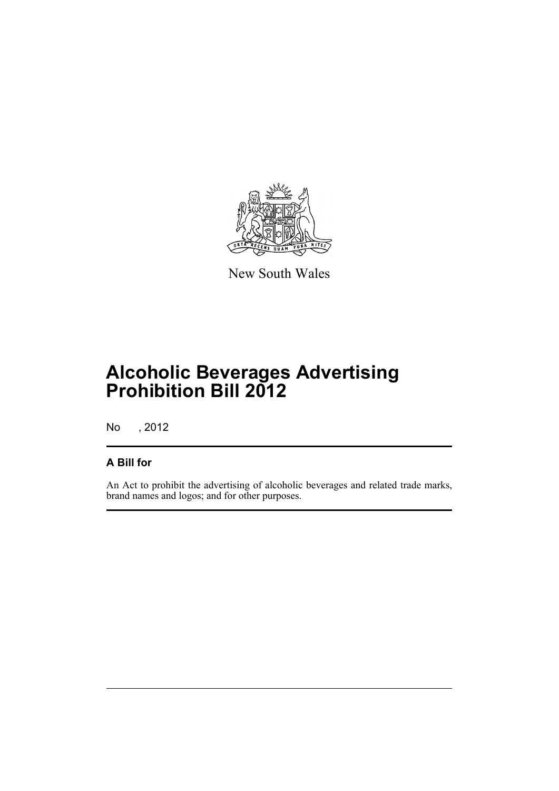

New South Wales

# **Alcoholic Beverages Advertising Prohibition Bill 2012**

No , 2012

# **A Bill for**

An Act to prohibit the advertising of alcoholic beverages and related trade marks, brand names and logos; and for other purposes.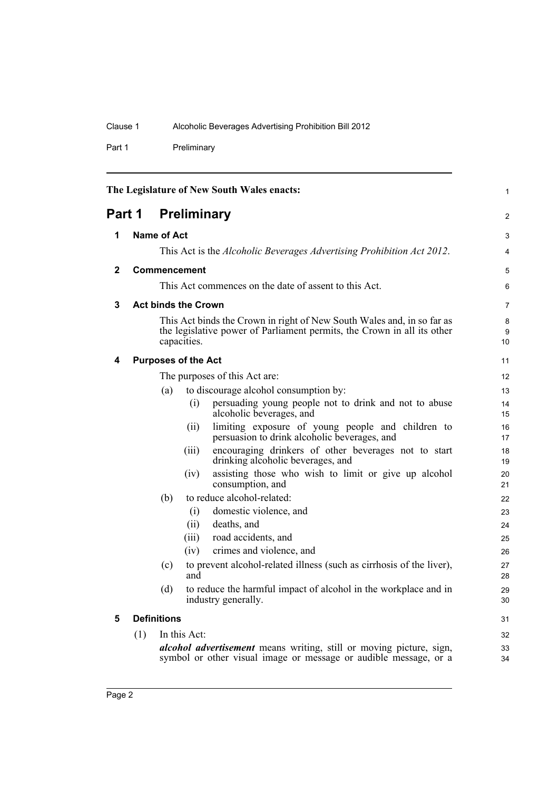Part 1 Preliminary

<span id="page-9-5"></span><span id="page-9-4"></span><span id="page-9-3"></span><span id="page-9-2"></span><span id="page-9-1"></span><span id="page-9-0"></span>

| The Legislature of New South Wales enacts: |                              |                    | 1                          |                                                                                                                                                   |                   |
|--------------------------------------------|------------------------------|--------------------|----------------------------|---------------------------------------------------------------------------------------------------------------------------------------------------|-------------------|
|                                            | <b>Preliminary</b><br>Part 1 |                    | 2                          |                                                                                                                                                   |                   |
| 1                                          |                              | <b>Name of Act</b> |                            |                                                                                                                                                   | 3                 |
|                                            |                              |                    |                            | This Act is the <i>Alcoholic Beverages Advertising Prohibition Act 2012</i> .                                                                     | 4                 |
| 2                                          |                              |                    | Commencement               |                                                                                                                                                   | 5                 |
|                                            |                              |                    |                            | This Act commences on the date of assent to this Act.                                                                                             | 6                 |
| 3                                          |                              |                    | <b>Act binds the Crown</b> |                                                                                                                                                   | $\overline{7}$    |
|                                            |                              |                    | capacities.                | This Act binds the Crown in right of New South Wales and, in so far as<br>the legislative power of Parliament permits, the Crown in all its other | 8<br>9<br>10      |
| 4                                          |                              |                    | <b>Purposes of the Act</b> |                                                                                                                                                   | 11                |
|                                            |                              |                    |                            | The purposes of this Act are:                                                                                                                     | $12 \overline{ }$ |
|                                            |                              | (a)                |                            | to discourage alcohol consumption by:                                                                                                             | 13                |
|                                            |                              |                    | (i)                        | persuading young people not to drink and not to abuse<br>alcoholic beverages, and                                                                 | 14<br>15          |
|                                            |                              |                    | (i)                        | limiting exposure of young people and children to<br>persuasion to drink alcoholic beverages, and                                                 | 16<br>17          |
|                                            |                              |                    | (iii)                      | encouraging drinkers of other beverages not to start<br>drinking alcoholic beverages, and                                                         | 18<br>19          |
|                                            |                              |                    | (iv)                       | assisting those who wish to limit or give up alcohol<br>consumption, and                                                                          | 20<br>21          |
|                                            |                              | (b)                |                            | to reduce alcohol-related:                                                                                                                        | 22                |
|                                            |                              |                    | (i)                        | domestic violence, and                                                                                                                            | 23                |
|                                            |                              |                    | (ii)                       | deaths, and                                                                                                                                       | 24                |
|                                            |                              |                    | (iii)                      | road accidents, and                                                                                                                               | 25                |
|                                            |                              |                    | (iv)                       | crimes and violence, and                                                                                                                          | 26                |
|                                            |                              | (c)                | and                        | to prevent alcohol-related illness (such as cirrhosis of the liver),                                                                              | 27<br>28          |
|                                            |                              | (d)                |                            | to reduce the harmful impact of alcohol in the workplace and in<br>industry generally.                                                            | 29<br>30          |
| 5                                          |                              | <b>Definitions</b> |                            |                                                                                                                                                   | 31                |
|                                            | (1)                          |                    | In this Act:               |                                                                                                                                                   | 32                |
|                                            |                              |                    |                            | <i>alcohol advertisement</i> means writing, still or moving picture, sign,<br>symbol or other visual image or message or audible message, or a    | 33<br>34          |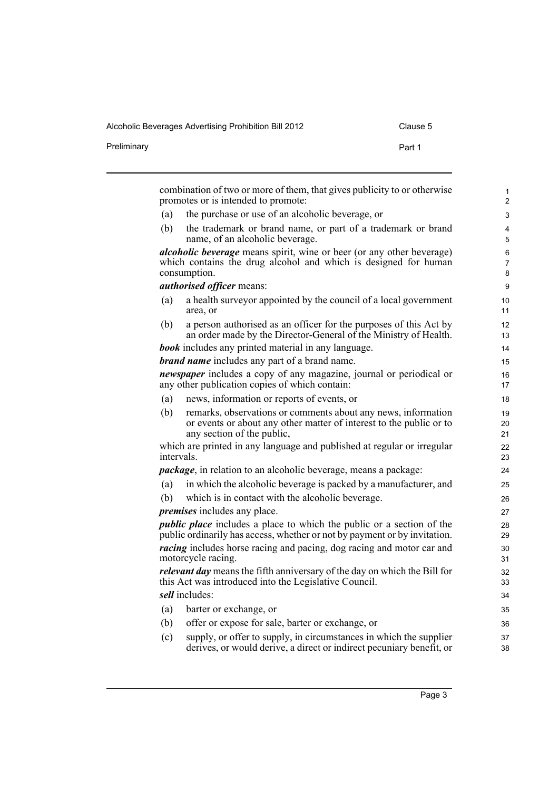Preliminary **Preliminary** Part 1

|            | combination of two or more of them, that gives publicity to or otherwise<br>promotes or is intended to promote:                                                    |  |
|------------|--------------------------------------------------------------------------------------------------------------------------------------------------------------------|--|
| (a)        | the purchase or use of an alcoholic beverage, or                                                                                                                   |  |
| (b)        | the trademark or brand name, or part of a trademark or brand<br>name, of an alcoholic beverage.                                                                    |  |
|            | <i>alcoholic beverage</i> means spirit, wine or beer (or any other beverage)<br>which contains the drug alcohol and which is designed for human<br>consumption.    |  |
|            | <i>authorised officer means:</i>                                                                                                                                   |  |
| (a)        | a health survey or appointed by the council of a local government<br>area, or                                                                                      |  |
| (b)        | a person authorised as an officer for the purposes of this Act by<br>an order made by the Director-General of the Ministry of Health.                              |  |
|            | <b>book</b> includes any printed material in any language.                                                                                                         |  |
|            | <b>brand name</b> includes any part of a brand name.                                                                                                               |  |
|            | <i>newspaper</i> includes a copy of any magazine, journal or periodical or<br>any other publication copies of which contain:                                       |  |
| (a)        | news, information or reports of events, or                                                                                                                         |  |
| (b)        | remarks, observations or comments about any news, information<br>or events or about any other matter of interest to the public or to<br>any section of the public, |  |
| intervals. | which are printed in any language and published at regular or irregular                                                                                            |  |
|            | <i>package</i> , in relation to an alcoholic beverage, means a package:                                                                                            |  |
| (a)        | in which the alcoholic beverage is packed by a manufacturer, and                                                                                                   |  |
| (b)        | which is in contact with the alcoholic beverage.                                                                                                                   |  |
|            | <i>premises</i> includes any place.                                                                                                                                |  |
|            | <i>public place</i> includes a place to which the public or a section of the<br>public ordinarily has access, whether or not by payment or by invitation.          |  |
|            | <i>racing</i> includes horse racing and pacing, dog racing and motor car and<br>motorcycle racing.                                                                 |  |
|            | relevant day means the fifth anniversary of the day on which the Bill for<br>this Act was introduced into the Legislative Council.                                 |  |
|            | sell includes:                                                                                                                                                     |  |
| (a)        | barter or exchange, or                                                                                                                                             |  |
| (b)        | offer or expose for sale, barter or exchange, or                                                                                                                   |  |
| (c)        | supply, or offer to supply, in circumstances in which the supplier                                                                                                 |  |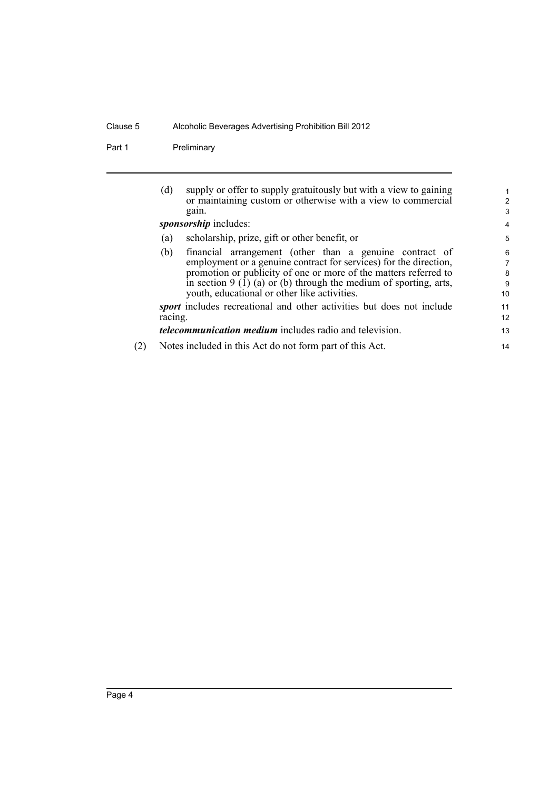Part 1 Preliminary

| supply or offer to supply gratuitously but with a view to gaining<br>(d)     | 1                                                                                                                       |
|------------------------------------------------------------------------------|-------------------------------------------------------------------------------------------------------------------------|
|                                                                              | 2                                                                                                                       |
| gain.                                                                        | 3                                                                                                                       |
| sponsorship includes:                                                        | 4                                                                                                                       |
| scholarship, prize, gift or other benefit, or<br>(a)                         | 5                                                                                                                       |
| (b)                                                                          | 6                                                                                                                       |
| employment or a genuine contract for services) for the direction,            | 7                                                                                                                       |
| promotion or publicity of one or more of the matters referred to             | 8                                                                                                                       |
| in section $9(1)(a)$ or (b) through the medium of sporting, arts,            | 9                                                                                                                       |
| youth, educational or other like activities.                                 | 10                                                                                                                      |
| <i>sport</i> includes recreational and other activities but does not include | 11                                                                                                                      |
| racing.                                                                      | 12                                                                                                                      |
| <i>telecommunication medium</i> includes radio and television.               | 13                                                                                                                      |
| Notes included in this Act do not form part of this Act.                     | 14                                                                                                                      |
|                                                                              | or maintaining custom or otherwise with a view to commercial<br>financial arrangement (other than a genuine contract of |

(2) Notes included in this Act do not form part of this Act.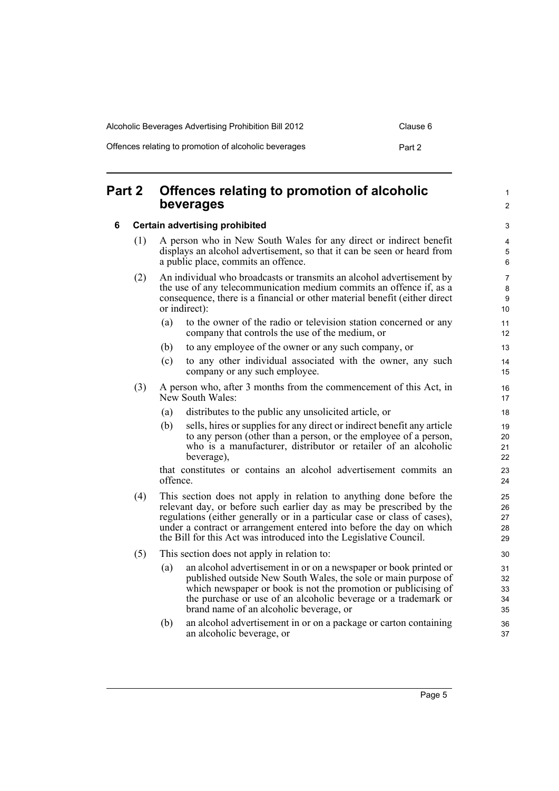| Alcoholic Beverages Advertising Prohibition Bill 2012 | Clause 6 |
|-------------------------------------------------------|----------|
| Offences relating to promotion of alcoholic beverages | Part 2   |

## <span id="page-12-0"></span>**Part 2 Offences relating to promotion of alcoholic beverages**

### <span id="page-12-1"></span>**6 Certain advertising prohibited**

- (1) A person who in New South Wales for any direct or indirect benefit displays an alcohol advertisement, so that it can be seen or heard from a public place, commits an offence.
- (2) An individual who broadcasts or transmits an alcohol advertisement by the use of any telecommunication medium commits an offence if, as a consequence, there is a financial or other material benefit (either direct or indirect):
	- (a) to the owner of the radio or television station concerned or any company that controls the use of the medium, or
	- (b) to any employee of the owner or any such company, or
	- (c) to any other individual associated with the owner, any such company or any such employee.
- (3) A person who, after 3 months from the commencement of this Act, in New South Wales:
	- (a) distributes to the public any unsolicited article, or
	- (b) sells, hires or supplies for any direct or indirect benefit any article to any person (other than a person, or the employee of a person, who is a manufacturer, distributor or retailer of an alcoholic beverage),

that constitutes or contains an alcohol advertisement commits an offence.

- (4) This section does not apply in relation to anything done before the relevant day, or before such earlier day as may be prescribed by the regulations (either generally or in a particular case or class of cases), under a contract or arrangement entered into before the day on which the Bill for this Act was introduced into the Legislative Council.
- (5) This section does not apply in relation to:
	- (a) an alcohol advertisement in or on a newspaper or book printed or published outside New South Wales, the sole or main purpose of which newspaper or book is not the promotion or publicising of the purchase or use of an alcoholic beverage or a trademark or brand name of an alcoholic beverage, or
	- (b) an alcohol advertisement in or on a package or carton containing an alcoholic beverage, or

1  $\mathfrak{p}$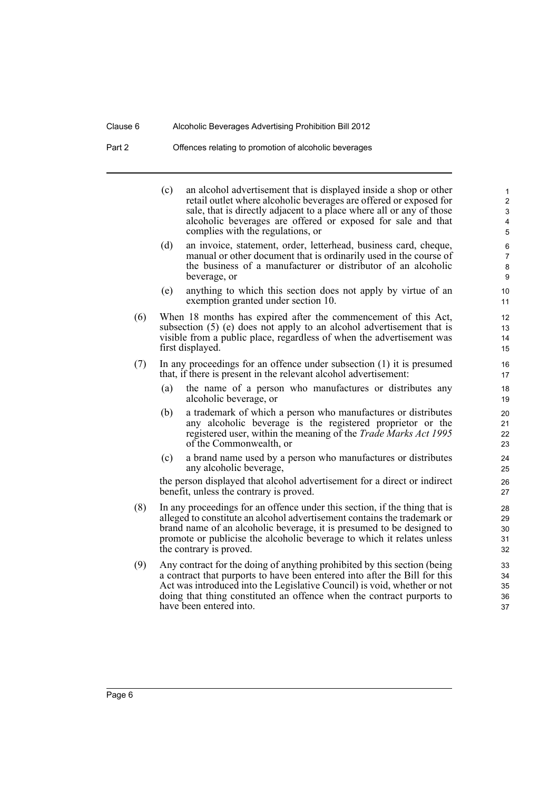Part 2 Offences relating to promotion of alcoholic beverages

(c) an alcohol advertisement that is displayed inside a shop or other retail outlet where alcoholic beverages are offered or exposed for sale, that is directly adjacent to a place where all or any of those alcoholic beverages are offered or exposed for sale and that complies with the regulations, or

- (d) an invoice, statement, order, letterhead, business card, cheque, manual or other document that is ordinarily used in the course of the business of a manufacturer or distributor of an alcoholic beverage, or
- (e) anything to which this section does not apply by virtue of an exemption granted under section 10.
- (6) When 18 months has expired after the commencement of this Act, subsection (5) (e) does not apply to an alcohol advertisement that is visible from a public place, regardless of when the advertisement was first displayed.
- (7) In any proceedings for an offence under subsection (1) it is presumed that, if there is present in the relevant alcohol advertisement:
	- (a) the name of a person who manufactures or distributes any alcoholic beverage, or
	- (b) a trademark of which a person who manufactures or distributes any alcoholic beverage is the registered proprietor or the registered user, within the meaning of the *Trade Marks Act 1995* of the Commonwealth, or
	- (c) a brand name used by a person who manufactures or distributes any alcoholic beverage,

the person displayed that alcohol advertisement for a direct or indirect benefit, unless the contrary is proved.

- (8) In any proceedings for an offence under this section, if the thing that is alleged to constitute an alcohol advertisement contains the trademark or brand name of an alcoholic beverage, it is presumed to be designed to promote or publicise the alcoholic beverage to which it relates unless the contrary is proved.
- (9) Any contract for the doing of anything prohibited by this section (being a contract that purports to have been entered into after the Bill for this Act was introduced into the Legislative Council) is void, whether or not doing that thing constituted an offence when the contract purports to have been entered into.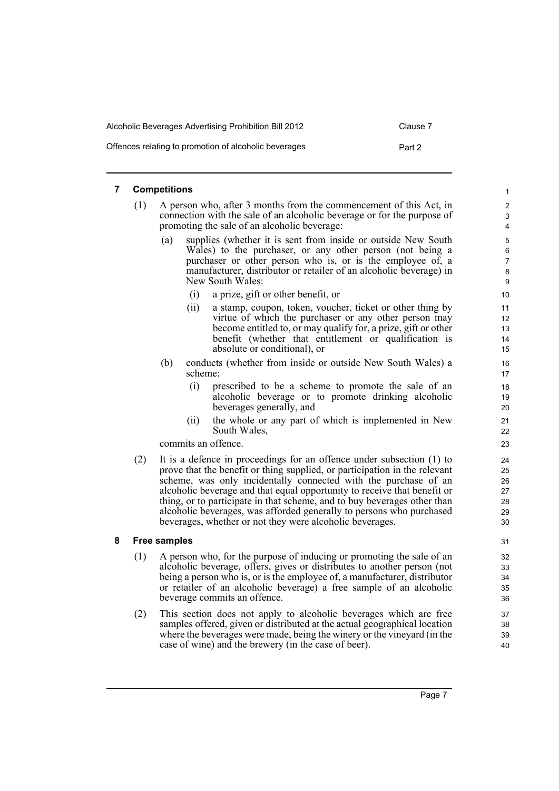| Alcoholic Beverages Advertising Prohibition Bill 2012 | Clause 7 |
|-------------------------------------------------------|----------|
| Offences relating to promotion of alcoholic beverages | Part 2   |

### <span id="page-14-0"></span>**7 Competitions**

- (1) A person who, after 3 months from the commencement of this Act, in connection with the sale of an alcoholic beverage or for the purpose of promoting the sale of an alcoholic beverage:
	- (a) supplies (whether it is sent from inside or outside New South Wales) to the purchaser, or any other person (not being a purchaser or other person who is, or is the employee of, a manufacturer, distributor or retailer of an alcoholic beverage) in New South Wales:
		- (i) a prize, gift or other benefit, or
		- (ii) a stamp, coupon, token, voucher, ticket or other thing by virtue of which the purchaser or any other person may become entitled to, or may qualify for, a prize, gift or other benefit (whether that entitlement or qualification is absolute or conditional), or
	- (b) conducts (whether from inside or outside New South Wales) a scheme:
		- (i) prescribed to be a scheme to promote the sale of an alcoholic beverage or to promote drinking alcoholic beverages generally, and
		- (ii) the whole or any part of which is implemented in New South Wales,

commits an offence.

(2) It is a defence in proceedings for an offence under subsection (1) to prove that the benefit or thing supplied, or participation in the relevant scheme, was only incidentally connected with the purchase of an alcoholic beverage and that equal opportunity to receive that benefit or thing, or to participate in that scheme, and to buy beverages other than alcoholic beverages, was afforded generally to persons who purchased beverages, whether or not they were alcoholic beverages.

### <span id="page-14-1"></span>**8 Free samples**

- (1) A person who, for the purpose of inducing or promoting the sale of an alcoholic beverage, offers, gives or distributes to another person (not being a person who is, or is the employee of, a manufacturer, distributor or retailer of an alcoholic beverage) a free sample of an alcoholic beverage commits an offence.
- (2) This section does not apply to alcoholic beverages which are free samples offered, given or distributed at the actual geographical location where the beverages were made, being the winery or the vineyard (in the case of wine) and the brewery (in the case of beer).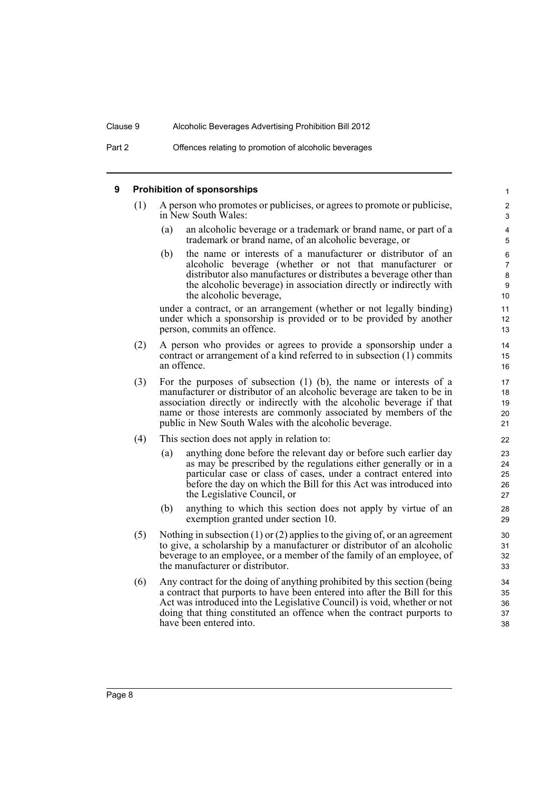#### <span id="page-15-0"></span>**9 Prohibition of sponsorships** (1) A person who promotes or publicises, or agrees to promote or publicise, in New South Wales: (a) an alcoholic beverage or a trademark or brand name, or part of a trademark or brand name, of an alcoholic beverage, or (b) the name or interests of a manufacturer or distributor of an alcoholic beverage (whether or not that manufacturer or distributor also manufactures or distributes a beverage other than the alcoholic beverage) in association directly or indirectly with the alcoholic beverage, under a contract, or an arrangement (whether or not legally binding) under which a sponsorship is provided or to be provided by another person, commits an offence. (2) A person who provides or agrees to provide a sponsorship under a contract or arrangement of a kind referred to in subsection (1) commits an offence. (3) For the purposes of subsection (1) (b), the name or interests of a manufacturer or distributor of an alcoholic beverage are taken to be in association directly or indirectly with the alcoholic beverage if that name or those interests are commonly associated by members of the public in New South Wales with the alcoholic beverage. (4) This section does not apply in relation to: (a) anything done before the relevant day or before such earlier day as may be prescribed by the regulations either generally or in a particular case or class of cases, under a contract entered into before the day on which the Bill for this Act was introduced into the Legislative Council, or (b) anything to which this section does not apply by virtue of an exemption granted under section 10. (5) Nothing in subsection (1) or (2) applies to the giving of, or an agreement to give, a scholarship by a manufacturer or distributor of an alcoholic beverage to an employee, or a member of the family of an employee, of the manufacturer or distributor. (6) Any contract for the doing of anything prohibited by this section (being a contract that purports to have been entered into after the Bill for this Act was introduced into the Legislative Council) is void, whether or not doing that thing constituted an offence when the contract purports to have been entered into. 1 2 3 4 5 6 7 8  $\overline{Q}$ 10 11 12 13 14 15 16 17 18 19 20 21 22 23 24 25 26 27 28 29 30 31 32 33 34 35 36 37 38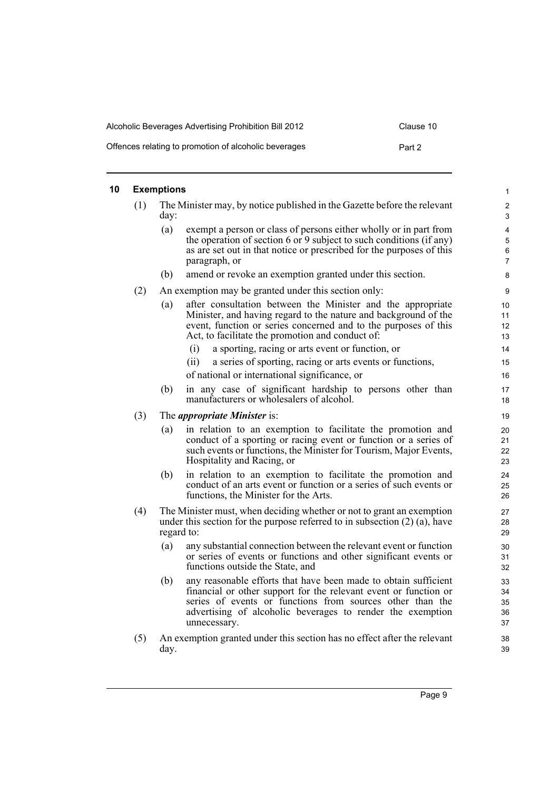| Alcoholic Beverages Advertising Prohibition Bill 2012 | Clause 10 |
|-------------------------------------------------------|-----------|
| Offences relating to promotion of alcoholic beverages | Part 2    |

### <span id="page-16-0"></span>**10 Exemptions**

|     | <b>Exemptions</b>                                                                |                                                                                                                                                                                                                                                                                | $\mathbf{1}$                      |  |
|-----|----------------------------------------------------------------------------------|--------------------------------------------------------------------------------------------------------------------------------------------------------------------------------------------------------------------------------------------------------------------------------|-----------------------------------|--|
| (1) | The Minister may, by notice published in the Gazette before the relevant<br>day: |                                                                                                                                                                                                                                                                                |                                   |  |
|     | (a)                                                                              | exempt a person or class of persons either wholly or in part from<br>the operation of section 6 or 9 subject to such conditions (if any)<br>as are set out in that notice or prescribed for the purposes of this<br>paragraph, or                                              | 4<br>5<br>6<br>$\overline{7}$     |  |
|     | (b)                                                                              | amend or revoke an exemption granted under this section.                                                                                                                                                                                                                       | 8                                 |  |
| (2) |                                                                                  | An exemption may be granted under this section only:                                                                                                                                                                                                                           | 9                                 |  |
|     | (a)                                                                              | after consultation between the Minister and the appropriate<br>Minister, and having regard to the nature and background of the<br>event, function or series concerned and to the purposes of this<br>Act, to facilitate the promotion and conduct of:                          | 10 <sup>1</sup><br>11<br>12<br>13 |  |
|     |                                                                                  | (i)<br>a sporting, racing or arts event or function, or                                                                                                                                                                                                                        | 14                                |  |
|     |                                                                                  | (ii)<br>a series of sporting, racing or arts events or functions,                                                                                                                                                                                                              | 15                                |  |
|     |                                                                                  | of national or international significance, or                                                                                                                                                                                                                                  | 16                                |  |
|     | (b)                                                                              | in any case of significant hardship to persons other than<br>manufacturers or wholesalers of alcohol.                                                                                                                                                                          | 17<br>18                          |  |
| (3) |                                                                                  | The <i>appropriate Minister</i> is:                                                                                                                                                                                                                                            | 19                                |  |
|     | (a)                                                                              | in relation to an exemption to facilitate the promotion and<br>conduct of a sporting or racing event or function or a series of<br>such events or functions, the Minister for Tourism, Major Events,<br>Hospitality and Racing, or                                             | 20<br>21<br>22<br>23              |  |
|     | (b)                                                                              | in relation to an exemption to facilitate the promotion and<br>conduct of an arts event or function or a series of such events or<br>functions, the Minister for the Arts.                                                                                                     | 24<br>25<br>26                    |  |
| (4) |                                                                                  | The Minister must, when deciding whether or not to grant an exemption<br>under this section for the purpose referred to in subsection $(2)$ $(a)$ , have<br>regard to:                                                                                                         | 27<br>28<br>29                    |  |
|     | (a)                                                                              | any substantial connection between the relevant event or function<br>or series of events or functions and other significant events or<br>functions outside the State, and                                                                                                      | 30<br>31<br>32                    |  |
|     | (b)                                                                              | any reasonable efforts that have been made to obtain sufficient<br>financial or other support for the relevant event or function or<br>series of events or functions from sources other than the<br>advertising of alcoholic beverages to render the exemption<br>unnecessary. | 33<br>34<br>35<br>36<br>37        |  |
| (5) | day.                                                                             | An exemption granted under this section has no effect after the relevant                                                                                                                                                                                                       | 38<br>39                          |  |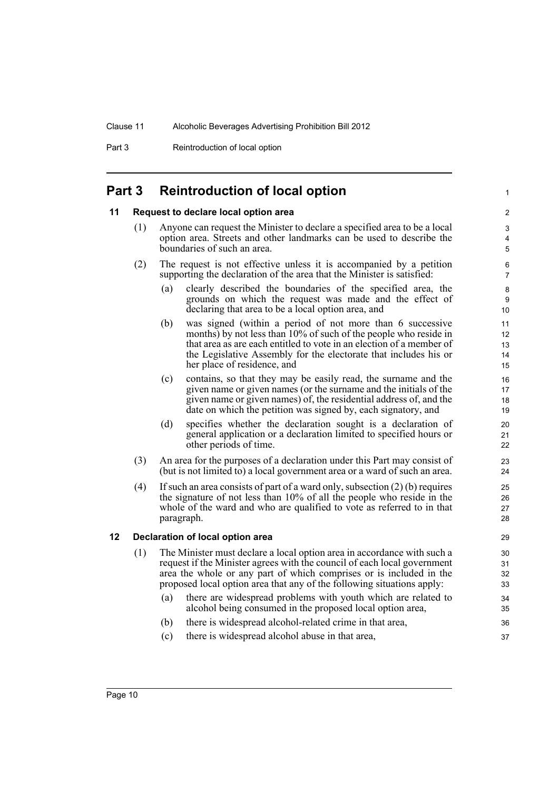Part 3 Reintroduction of local option

## <span id="page-17-0"></span>**Part 3 Reintroduction of local option**

### <span id="page-17-1"></span>**11 Request to declare local option area**

- (1) Anyone can request the Minister to declare a specified area to be a local option area. Streets and other landmarks can be used to describe the boundaries of such an area.
- (2) The request is not effective unless it is accompanied by a petition supporting the declaration of the area that the Minister is satisfied:
	- (a) clearly described the boundaries of the specified area, the grounds on which the request was made and the effect of declaring that area to be a local option area, and

1

- (b) was signed (within a period of not more than 6 successive months) by not less than 10% of such of the people who reside in that area as are each entitled to vote in an election of a member of the Legislative Assembly for the electorate that includes his or her place of residence, and
- (c) contains, so that they may be easily read, the surname and the given name or given names (or the surname and the initials of the given name or given names) of, the residential address of, and the date on which the petition was signed by, each signatory, and
- (d) specifies whether the declaration sought is a declaration of general application or a declaration limited to specified hours or other periods of time.
- (3) An area for the purposes of a declaration under this Part may consist of (but is not limited to) a local government area or a ward of such an area.
- (4) If such an area consists of part of a ward only, subsection (2) (b) requires the signature of not less than 10% of all the people who reside in the whole of the ward and who are qualified to vote as referred to in that paragraph.

### <span id="page-17-2"></span>**12 Declaration of local option area**

- (1) The Minister must declare a local option area in accordance with such a request if the Minister agrees with the council of each local government area the whole or any part of which comprises or is included in the proposed local option area that any of the following situations apply:
	- (a) there are widespread problems with youth which are related to alcohol being consumed in the proposed local option area,
	- (b) there is widespread alcohol-related crime in that area,
	- (c) there is widespread alcohol abuse in that area,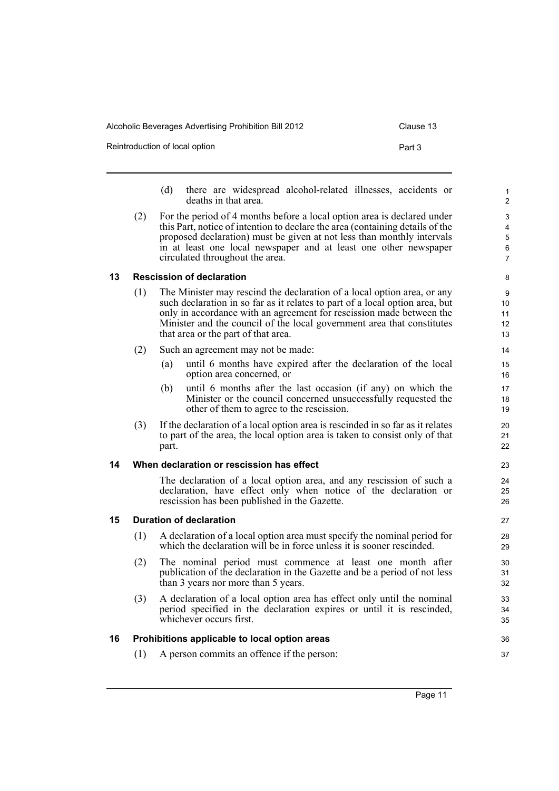| Alcoholic Beverages Advertising Prohibition Bill 2012 | Clause 13 |
|-------------------------------------------------------|-----------|
| Reintroduction of local option                        | Part 3    |

- (d) there are widespread alcohol-related illnesses, accidents or deaths in that area.
- (2) For the period of 4 months before a local option area is declared under this Part, notice of intention to declare the area (containing details of the proposed declaration) must be given at not less than monthly intervals in at least one local newspaper and at least one other newspaper circulated throughout the area.

### <span id="page-18-0"></span>**13 Rescission of declaration**

- (1) The Minister may rescind the declaration of a local option area, or any such declaration in so far as it relates to part of a local option area, but only in accordance with an agreement for rescission made between the Minister and the council of the local government area that constitutes that area or the part of that area.
- (2) Such an agreement may not be made:
	- (a) until 6 months have expired after the declaration of the local option area concerned, or
	- (b) until 6 months after the last occasion (if any) on which the Minister or the council concerned unsuccessfully requested the other of them to agree to the rescission.
- (3) If the declaration of a local option area is rescinded in so far as it relates to part of the area, the local option area is taken to consist only of that part.

### <span id="page-18-1"></span>**14 When declaration or rescission has effect**

The declaration of a local option area, and any rescission of such a declaration, have effect only when notice of the declaration or rescission has been published in the Gazette.

### <span id="page-18-2"></span>**15 Duration of declaration**

- (1) A declaration of a local option area must specify the nominal period for which the declaration will be in force unless it is sooner rescinded.
- (2) The nominal period must commence at least one month after publication of the declaration in the Gazette and be a period of not less than 3 years nor more than 5 years.
- (3) A declaration of a local option area has effect only until the nominal period specified in the declaration expires or until it is rescinded, whichever occurs first.

### <span id="page-18-3"></span>**16 Prohibitions applicable to local option areas**

(1) A person commits an offence if the person: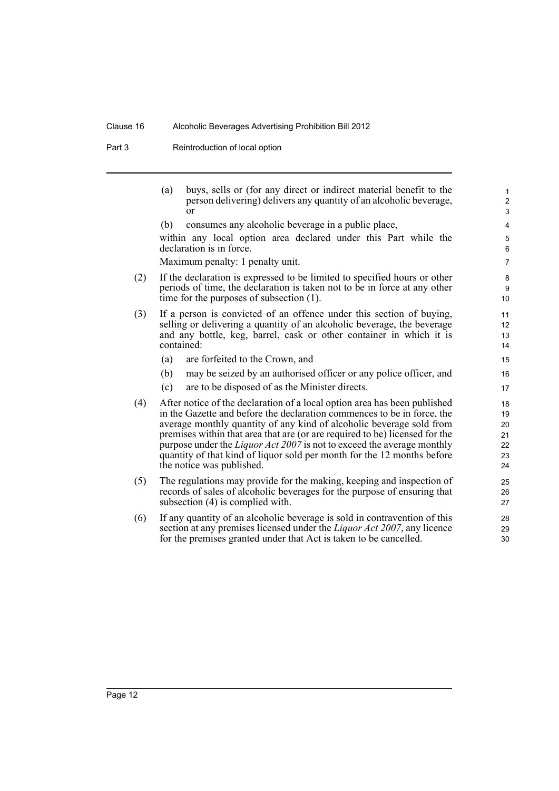Part 3 Reintroduction of local option

|     | (a) | buys, sells or (for any direct or indirect material benefit to the<br>person delivering) delivers any quantity of an alcoholic beverage,<br>or                                                                                                                                                                                                                                                                                                                                                       | $\mathbf{1}$<br>$\overline{2}$<br>3    |
|-----|-----|------------------------------------------------------------------------------------------------------------------------------------------------------------------------------------------------------------------------------------------------------------------------------------------------------------------------------------------------------------------------------------------------------------------------------------------------------------------------------------------------------|----------------------------------------|
|     | (b) | consumes any alcoholic beverage in a public place,<br>within any local option area declared under this Part while the<br>declaration is in force.                                                                                                                                                                                                                                                                                                                                                    | 4<br>5<br>6                            |
|     |     | Maximum penalty: 1 penalty unit.                                                                                                                                                                                                                                                                                                                                                                                                                                                                     | $\overline{7}$                         |
| (2) |     | If the declaration is expressed to be limited to specified hours or other<br>periods of time, the declaration is taken not to be in force at any other<br>time for the purposes of subsection $(1)$ .                                                                                                                                                                                                                                                                                                | 8<br>9<br>10                           |
| (3) |     | If a person is convicted of an offence under this section of buying,<br>selling or delivering a quantity of an alcoholic beverage, the beverage<br>and any bottle, keg, barrel, cask or other container in which it is<br>contained:                                                                                                                                                                                                                                                                 | 11<br>12<br>13<br>14                   |
|     | (a) | are forfeited to the Crown, and                                                                                                                                                                                                                                                                                                                                                                                                                                                                      | 15                                     |
|     | (b) | may be seized by an authorised officer or any police officer, and                                                                                                                                                                                                                                                                                                                                                                                                                                    | 16                                     |
|     | (c) | are to be disposed of as the Minister directs.                                                                                                                                                                                                                                                                                                                                                                                                                                                       | 17                                     |
| (4) |     | After notice of the declaration of a local option area has been published<br>in the Gazette and before the declaration commences to be in force, the<br>average monthly quantity of any kind of alcoholic beverage sold from<br>premises within that area that are (or are required to be) licensed for the<br>purpose under the <i>Liquor Act 2007</i> is not to exceed the average monthly<br>quantity of that kind of liquor sold per month for the 12 months before<br>the notice was published. | 18<br>19<br>20<br>21<br>22<br>23<br>24 |
| (5) |     | The regulations may provide for the making, keeping and inspection of<br>records of sales of alcoholic beverages for the purpose of ensuring that<br>subsection (4) is complied with.                                                                                                                                                                                                                                                                                                                | 25<br>26<br>27                         |
| (6) |     | If any quantity of an alcoholic beverage is sold in contravention of this<br>section at any premises licensed under the <i>Liquor Act 2007</i> , any licence<br>for the premises granted under that Act is taken to be cancelled.                                                                                                                                                                                                                                                                    | 28<br>29<br>30                         |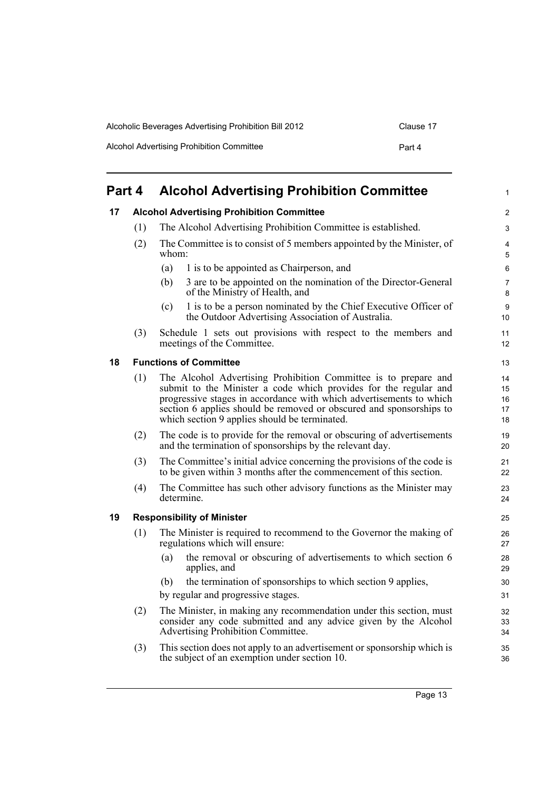| Alcoholic Beverages Advertising Prohibition Bill 2012 | Clause 17 |
|-------------------------------------------------------|-----------|
| Alcohol Advertising Prohibition Committee             | Part 4    |

<span id="page-20-2"></span><span id="page-20-1"></span><span id="page-20-0"></span>

| Part 4 |                                   | <b>Alcohol Advertising Prohibition Committee</b>                                                                                                                                                                                                                                                                                   | 1                          |
|--------|-----------------------------------|------------------------------------------------------------------------------------------------------------------------------------------------------------------------------------------------------------------------------------------------------------------------------------------------------------------------------------|----------------------------|
| 17     |                                   | <b>Alcohol Advertising Prohibition Committee</b>                                                                                                                                                                                                                                                                                   | 2                          |
|        | (1)                               | The Alcohol Advertising Prohibition Committee is established.                                                                                                                                                                                                                                                                      | 3                          |
|        | (2)                               | The Committee is to consist of 5 members appointed by the Minister, of<br>whom:                                                                                                                                                                                                                                                    | 4<br>5                     |
|        |                                   | (a)<br>1 is to be appointed as Chairperson, and                                                                                                                                                                                                                                                                                    | 6                          |
|        |                                   | 3 are to be appointed on the nomination of the Director-General<br>(b)<br>of the Ministry of Health, and                                                                                                                                                                                                                           | 7<br>8                     |
|        |                                   | 1 is to be a person nominated by the Chief Executive Officer of<br>(c)<br>the Outdoor Advertising Association of Australia.                                                                                                                                                                                                        | 9<br>10                    |
|        | (3)                               | Schedule 1 sets out provisions with respect to the members and<br>meetings of the Committee.                                                                                                                                                                                                                                       | 11<br>12                   |
| 18     |                                   | <b>Functions of Committee</b>                                                                                                                                                                                                                                                                                                      | 13                         |
|        | (1)                               | The Alcohol Advertising Prohibition Committee is to prepare and<br>submit to the Minister a code which provides for the regular and<br>progressive stages in accordance with which advertisements to which<br>section 6 applies should be removed or obscured and sponsorships to<br>which section 9 applies should be terminated. | 14<br>15<br>16<br>17<br>18 |
|        | (2)                               | The code is to provide for the removal or obscuring of advertisements<br>and the termination of sponsorships by the relevant day.                                                                                                                                                                                                  | 19<br>20                   |
|        | (3)                               | The Committee's initial advice concerning the provisions of the code is<br>to be given within 3 months after the commencement of this section.                                                                                                                                                                                     | 21<br>22                   |
|        | (4)                               | The Committee has such other advisory functions as the Minister may<br>determine.                                                                                                                                                                                                                                                  | 23<br>24                   |
| 19     | <b>Responsibility of Minister</b> |                                                                                                                                                                                                                                                                                                                                    | 25                         |
|        | (1)                               | The Minister is required to recommend to the Governor the making of<br>regulations which will ensure:                                                                                                                                                                                                                              | 26<br>27                   |
|        |                                   | the removal or obscuring of advertisements to which section 6<br>(a)<br>applies, and                                                                                                                                                                                                                                               | 28<br>29                   |
|        |                                   | the termination of sponsorships to which section 9 applies,<br>(b)<br>by regular and progressive stages.                                                                                                                                                                                                                           | 30<br>31                   |
|        | (2)                               | The Minister, in making any recommendation under this section, must<br>consider any code submitted and any advice given by the Alcohol<br>Advertising Prohibition Committee.                                                                                                                                                       | 32<br>33<br>34             |
|        | (3)                               | This section does not apply to an advertisement or sponsorship which is                                                                                                                                                                                                                                                            | 35                         |

<span id="page-20-3"></span>the subject of an exemption under section 10.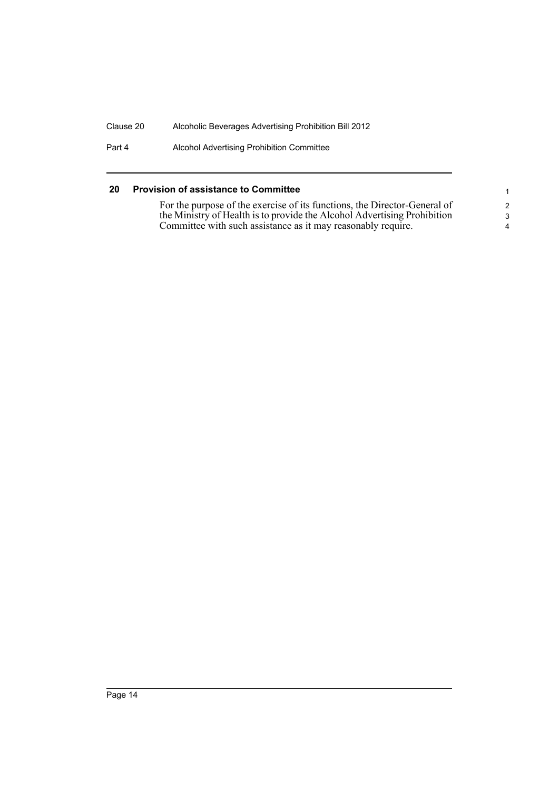Part 4 Alcohol Advertising Prohibition Committee

### <span id="page-21-0"></span>**20 Provision of assistance to Committee**

For the purpose of the exercise of its functions, the Director-General of the Ministry of Health is to provide the Alcohol Advertising Prohibition Committee with such assistance as it may reasonably require.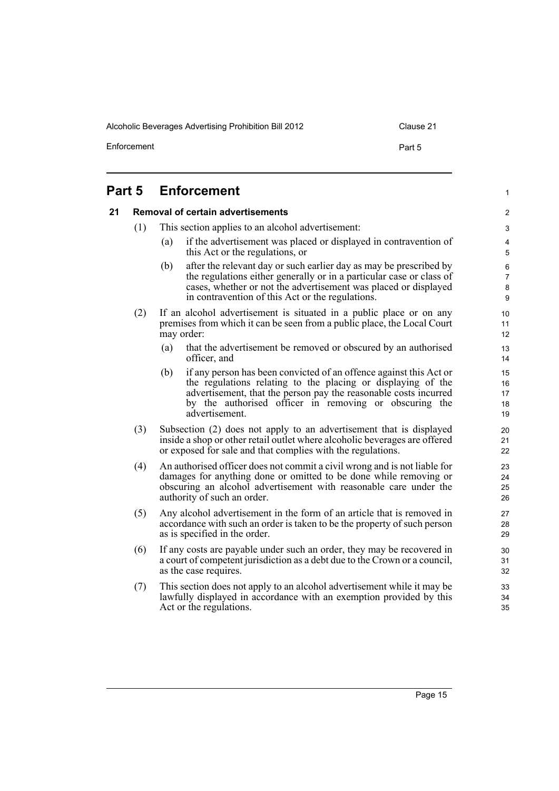Alcoholic Beverages Advertising Prohibition Bill 2012 Clause 21

Enforcement **Part 5** 

1

# <span id="page-22-1"></span><span id="page-22-0"></span>**Part 5 Enforcement 21 Removal of certain advertisements**

- (1) This section applies to an alcohol advertisement:
	- (a) if the advertisement was placed or displayed in contravention of this Act or the regulations, or
	- (b) after the relevant day or such earlier day as may be prescribed by the regulations either generally or in a particular case or class of cases, whether or not the advertisement was placed or displayed in contravention of this Act or the regulations.
- (2) If an alcohol advertisement is situated in a public place or on any premises from which it can be seen from a public place, the Local Court may order:
	- (a) that the advertisement be removed or obscured by an authorised officer, and
	- (b) if any person has been convicted of an offence against this Act or the regulations relating to the placing or displaying of the advertisement, that the person pay the reasonable costs incurred by the authorised officer in removing or obscuring the advertisement.
- (3) Subsection (2) does not apply to an advertisement that is displayed inside a shop or other retail outlet where alcoholic beverages are offered or exposed for sale and that complies with the regulations.
- (4) An authorised officer does not commit a civil wrong and is not liable for damages for anything done or omitted to be done while removing or obscuring an alcohol advertisement with reasonable care under the authority of such an order.
- (5) Any alcohol advertisement in the form of an article that is removed in accordance with such an order is taken to be the property of such person as is specified in the order.
- (6) If any costs are payable under such an order, they may be recovered in a court of competent jurisdiction as a debt due to the Crown or a council, as the case requires.
- (7) This section does not apply to an alcohol advertisement while it may be lawfully displayed in accordance with an exemption provided by this Act or the regulations.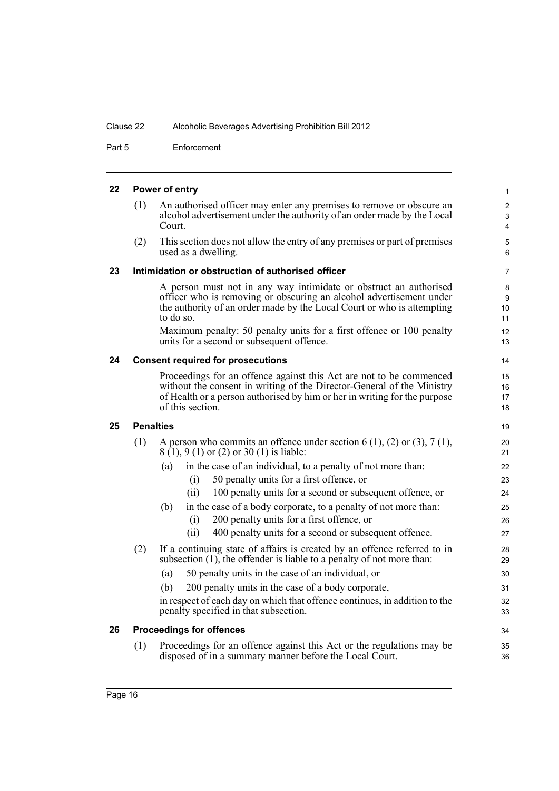Part 5 Enforcement

<span id="page-23-4"></span><span id="page-23-3"></span><span id="page-23-2"></span><span id="page-23-1"></span><span id="page-23-0"></span>

|     |                                                                                                                                                                                                                                                                                                                                                      | 1                                                                                                                                                                                                                                                                                                                                                                                                                                                                                                                                                                                                                                               |
|-----|------------------------------------------------------------------------------------------------------------------------------------------------------------------------------------------------------------------------------------------------------------------------------------------------------------------------------------------------------|-------------------------------------------------------------------------------------------------------------------------------------------------------------------------------------------------------------------------------------------------------------------------------------------------------------------------------------------------------------------------------------------------------------------------------------------------------------------------------------------------------------------------------------------------------------------------------------------------------------------------------------------------|
| (1) | An authorised officer may enter any premises to remove or obscure an<br>alcohol advertisement under the authority of an order made by the Local<br>Court.                                                                                                                                                                                            | 2<br>3<br>4                                                                                                                                                                                                                                                                                                                                                                                                                                                                                                                                                                                                                                     |
| (2) | This section does not allow the entry of any premises or part of premises<br>used as a dwelling.                                                                                                                                                                                                                                                     | 5<br>6                                                                                                                                                                                                                                                                                                                                                                                                                                                                                                                                                                                                                                          |
|     |                                                                                                                                                                                                                                                                                                                                                      | 7                                                                                                                                                                                                                                                                                                                                                                                                                                                                                                                                                                                                                                               |
|     | A person must not in any way intimidate or obstruct an authorised<br>officer who is removing or obscuring an alcohol advertisement under<br>the authority of an order made by the Local Court or who is attempting<br>to do so.<br>Maximum penalty: 50 penalty units for a first offence or 100 penalty<br>units for a second or subsequent offence. | 8<br>9<br>10 <sup>°</sup><br>11<br>12<br>13                                                                                                                                                                                                                                                                                                                                                                                                                                                                                                                                                                                                     |
|     |                                                                                                                                                                                                                                                                                                                                                      | 14                                                                                                                                                                                                                                                                                                                                                                                                                                                                                                                                                                                                                                              |
|     | Proceedings for an offence against this Act are not to be commenced<br>without the consent in writing of the Director-General of the Ministry<br>of Health or a person authorised by him or her in writing for the purpose<br>of this section.                                                                                                       | 15<br>16<br>17<br>18                                                                                                                                                                                                                                                                                                                                                                                                                                                                                                                                                                                                                            |
|     |                                                                                                                                                                                                                                                                                                                                                      | 19                                                                                                                                                                                                                                                                                                                                                                                                                                                                                                                                                                                                                                              |
| (1) | A person who commits an offence under section 6 (1), (2) or (3), 7 (1),<br>8 (1), 9 (1) or (2) or 30 (1) is liable:                                                                                                                                                                                                                                  | 20<br>21                                                                                                                                                                                                                                                                                                                                                                                                                                                                                                                                                                                                                                        |
|     | in the case of an individual, to a penalty of not more than:<br>(a)                                                                                                                                                                                                                                                                                  | 22                                                                                                                                                                                                                                                                                                                                                                                                                                                                                                                                                                                                                                              |
|     | (i)                                                                                                                                                                                                                                                                                                                                                  | 23                                                                                                                                                                                                                                                                                                                                                                                                                                                                                                                                                                                                                                              |
|     |                                                                                                                                                                                                                                                                                                                                                      | 24                                                                                                                                                                                                                                                                                                                                                                                                                                                                                                                                                                                                                                              |
|     |                                                                                                                                                                                                                                                                                                                                                      | 25                                                                                                                                                                                                                                                                                                                                                                                                                                                                                                                                                                                                                                              |
|     |                                                                                                                                                                                                                                                                                                                                                      | 26                                                                                                                                                                                                                                                                                                                                                                                                                                                                                                                                                                                                                                              |
|     |                                                                                                                                                                                                                                                                                                                                                      | 27                                                                                                                                                                                                                                                                                                                                                                                                                                                                                                                                                                                                                                              |
|     | subsection $(1)$ , the offender is liable to a penalty of not more than:                                                                                                                                                                                                                                                                             | 28<br>29                                                                                                                                                                                                                                                                                                                                                                                                                                                                                                                                                                                                                                        |
|     | 50 penalty units in the case of an individual, or<br>(a)                                                                                                                                                                                                                                                                                             | 30                                                                                                                                                                                                                                                                                                                                                                                                                                                                                                                                                                                                                                              |
|     | 200 penalty units in the case of a body corporate,<br>(b)                                                                                                                                                                                                                                                                                            | 31                                                                                                                                                                                                                                                                                                                                                                                                                                                                                                                                                                                                                                              |
|     | penalty specified in that subsection.                                                                                                                                                                                                                                                                                                                | 32<br>33                                                                                                                                                                                                                                                                                                                                                                                                                                                                                                                                                                                                                                        |
|     |                                                                                                                                                                                                                                                                                                                                                      | 34                                                                                                                                                                                                                                                                                                                                                                                                                                                                                                                                                                                                                                              |
| (1) | Proceedings for an offence against this Act or the regulations may be<br>disposed of in a summary manner before the Local Court.                                                                                                                                                                                                                     | 35<br>36                                                                                                                                                                                                                                                                                                                                                                                                                                                                                                                                                                                                                                        |
|     | (2)                                                                                                                                                                                                                                                                                                                                                  | Power of entry<br>Intimidation or obstruction of authorised officer<br><b>Consent required for prosecutions</b><br><b>Penalties</b><br>50 penalty units for a first offence, or<br>100 penalty units for a second or subsequent offence, or<br>(ii)<br>in the case of a body corporate, to a penalty of not more than:<br>(b)<br>200 penalty units for a first offence, or<br>(i)<br>400 penalty units for a second or subsequent offence.<br>(ii)<br>If a continuing state of affairs is created by an offence referred to in<br>in respect of each day on which that offence continues, in addition to the<br><b>Proceedings for offences</b> |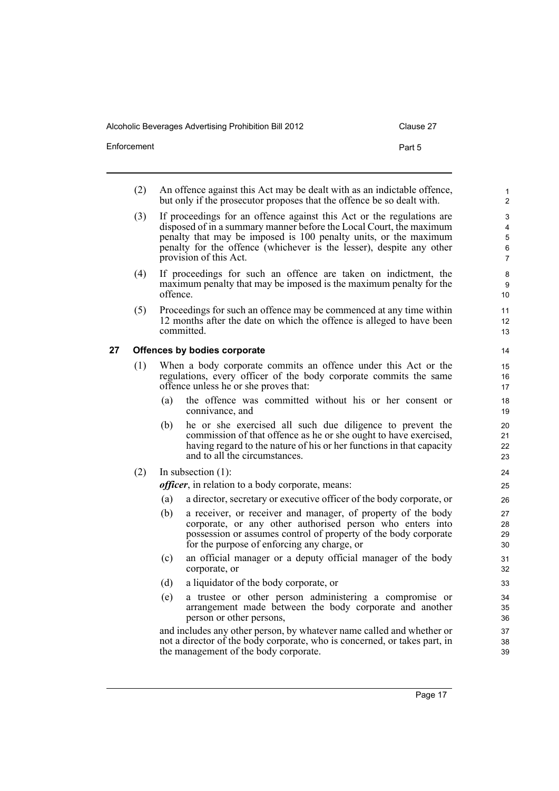Alcoholic Beverages Advertising Prohibition Bill 2012 Clause 2012

| Clause |  |
|--------|--|
|        |  |

| Enforcement | Part 5 |
|-------------|--------|
|             |        |

- (2) An offence against this Act may be dealt with as an indictable offence, but only if the prosecutor proposes that the offence be so dealt with.
- (3) If proceedings for an offence against this Act or the regulations are disposed of in a summary manner before the Local Court, the maximum penalty that may be imposed is 100 penalty units, or the maximum penalty for the offence (whichever is the lesser), despite any other provision of this Act.
- (4) If proceedings for such an offence are taken on indictment, the maximum penalty that may be imposed is the maximum penalty for the offence.
- (5) Proceedings for such an offence may be commenced at any time within 12 months after the date on which the offence is alleged to have been committed.

### <span id="page-24-0"></span>**27 Offences by bodies corporate**

- (1) When a body corporate commits an offence under this Act or the regulations, every officer of the body corporate commits the same offence unless he or she proves that:
	- (a) the offence was committed without his or her consent or connivance, and
	- (b) he or she exercised all such due diligence to prevent the commission of that offence as he or she ought to have exercised, having regard to the nature of his or her functions in that capacity and to all the circumstances.
- (2) In subsection (1):

*officer*, in relation to a body corporate, means:

- (a) a director, secretary or executive officer of the body corporate, or
- (b) a receiver, or receiver and manager, of property of the body corporate, or any other authorised person who enters into possession or assumes control of property of the body corporate for the purpose of enforcing any charge, or
- (c) an official manager or a deputy official manager of the body corporate, or
- (d) a liquidator of the body corporate, or
- (e) a trustee or other person administering a compromise or arrangement made between the body corporate and another person or other persons,

and includes any other person, by whatever name called and whether or not a director of the body corporate, who is concerned, or takes part, in the management of the body corporate.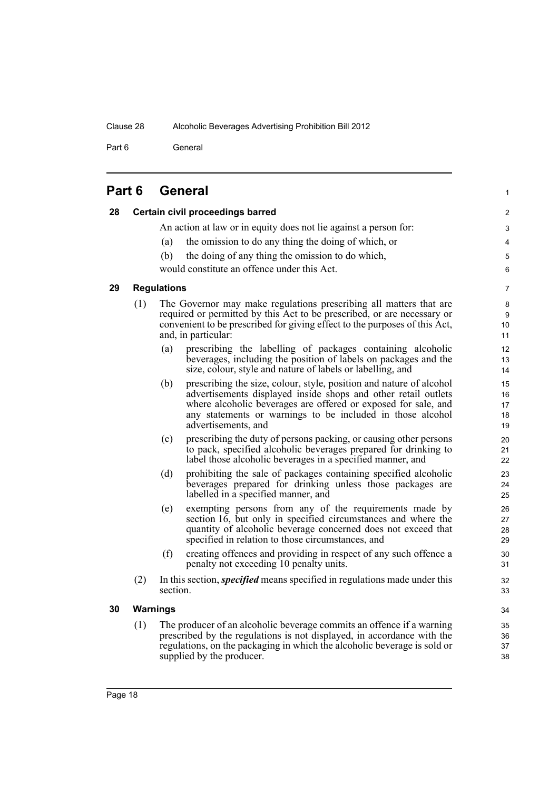Part 6 General

| Part 6 |  | <b>General</b> |  |
|--------|--|----------------|--|
|--------|--|----------------|--|

<span id="page-25-3"></span><span id="page-25-2"></span><span id="page-25-1"></span><span id="page-25-0"></span>

| 28 |     | Certain civil proceedings barred                                                                                                                                                                                                                                                                    | $\overline{c}$             |
|----|-----|-----------------------------------------------------------------------------------------------------------------------------------------------------------------------------------------------------------------------------------------------------------------------------------------------------|----------------------------|
|    |     | An action at law or in equity does not lie against a person for:                                                                                                                                                                                                                                    | 3                          |
|    |     | the omission to do any thing the doing of which, or<br>(a)                                                                                                                                                                                                                                          | 4                          |
|    |     | (b)<br>the doing of any thing the omission to do which,                                                                                                                                                                                                                                             | 5                          |
|    |     | would constitute an offence under this Act.                                                                                                                                                                                                                                                         | 6                          |
| 29 |     | <b>Regulations</b>                                                                                                                                                                                                                                                                                  | 7                          |
|    | (1) | The Governor may make regulations prescribing all matters that are<br>required or permitted by this Act to be prescribed, or are necessary or<br>convenient to be prescribed for giving effect to the purposes of this Act,<br>and, in particular:                                                  | 8<br>9<br>10<br>11         |
|    |     | prescribing the labelling of packages containing alcoholic<br>(a)<br>beverages, including the position of labels on packages and the<br>size, colour, style and nature of labels or labelling, and                                                                                                  | 12<br>13<br>14             |
|    |     | prescribing the size, colour, style, position and nature of alcohol<br>(b)<br>advertisements displayed inside shops and other retail outlets<br>where alcoholic beverages are offered or exposed for sale, and<br>any statements or warnings to be included in those alcohol<br>advertisements, and | 15<br>16<br>17<br>18<br>19 |
|    |     | prescribing the duty of persons packing, or causing other persons<br>(c)<br>to pack, specified alcoholic beverages prepared for drinking to<br>label those alcoholic beverages in a specified manner, and                                                                                           | 20<br>21<br>22             |
|    |     | prohibiting the sale of packages containing specified alcoholic<br>(d)<br>beverages prepared for drinking unless those packages are<br>labelled in a specified manner, and                                                                                                                          | 23<br>24<br>25             |
|    |     | exempting persons from any of the requirements made by<br>(e)<br>section 16, but only in specified circumstances and where the<br>quantity of alcoholic beverage concerned does not exceed that<br>specified in relation to those circumstances, and                                                | 26<br>27<br>28<br>29       |
|    |     | (f)<br>creating offences and providing in respect of any such offence a<br>penalty not exceeding 10 penalty units.                                                                                                                                                                                  | $30\,$<br>31               |
|    | (2) | In this section, <i>specified</i> means specified in regulations made under this<br>section.                                                                                                                                                                                                        | 32<br>33                   |
| 30 |     | <b>Warnings</b>                                                                                                                                                                                                                                                                                     | 34                         |
|    | (1) | The producer of an alcoholic beverage commits an offence if a warning<br>prescribed by the regulations is not displayed, in accordance with the<br>regulations, on the packaging in which the alcoholic beverage is sold or<br>supplied by the producer.                                            | 35<br>36<br>37<br>38       |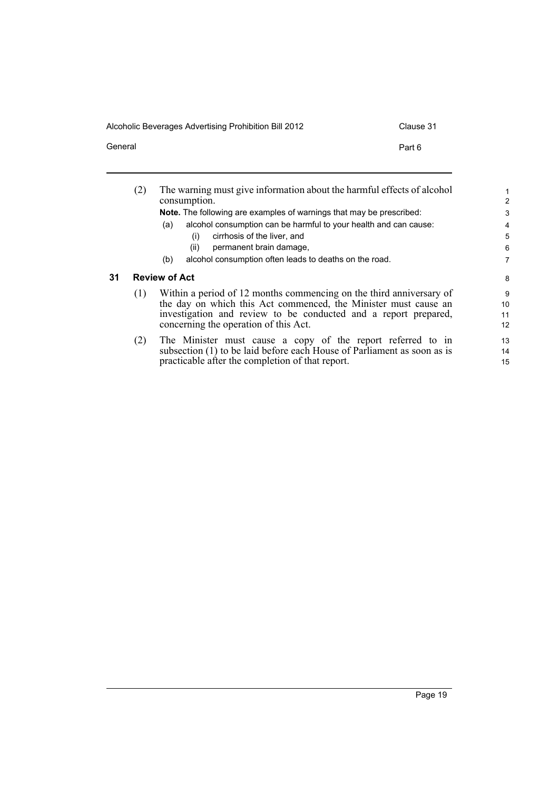Alcoholic Beverages Advertising Prohibition Bill 2012 Clause 31

<span id="page-26-0"></span> $\overline{\phantom{0}}$ 

General **Part 6** 

practicable after the completion of that report.

|    | (2)                                                                                                      | The warning must give information about the harmful effects of alcohol<br>consumption. | $\mathbf{1}$<br>2 |
|----|----------------------------------------------------------------------------------------------------------|----------------------------------------------------------------------------------------|-------------------|
|    |                                                                                                          | <b>Note.</b> The following are examples of warnings that may be prescribed:            | 3                 |
|    |                                                                                                          | alcohol consumption can be harmful to your health and can cause:<br>(a)                | 4                 |
|    |                                                                                                          | cirrhosis of the liver, and<br>(i)                                                     | 5                 |
|    |                                                                                                          | permanent brain damage,<br>(ii)                                                        | 6                 |
|    |                                                                                                          | alcohol consumption often leads to deaths on the road.<br>(b)                          | 7                 |
| 31 |                                                                                                          | <b>Review of Act</b>                                                                   | 8                 |
|    | (1)                                                                                                      | Within a period of 12 months commencing on the third anniversary of                    | 9                 |
|    |                                                                                                          | the day on which this Act commenced, the Minister must cause an                        | 10                |
|    | investigation and review to be conducted and a report prepared,<br>concerning the operation of this Act. |                                                                                        | 11                |
|    |                                                                                                          |                                                                                        | 12                |
|    | (2)                                                                                                      | The Minister must cause a copy of the report referred to in                            | 13                |
|    |                                                                                                          | subsection (1) to be laid before each House of Parliament as soon as is                | 14                |
|    |                                                                                                          | practicable after the completion of that report.                                       | 15                |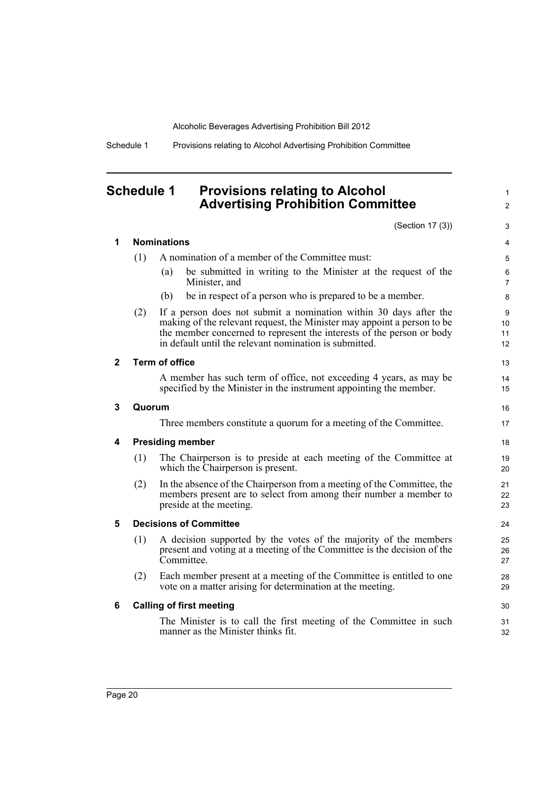Schedule 1 Provisions relating to Alcohol Advertising Prohibition Committee

# <span id="page-27-0"></span>**Schedule 1 Provisions relating to Alcohol Advertising Prohibition Committee**

(Section 17 (3))

|              |                                     |                       | (Section 17 (3))                                                                                                                                                                                                                                                                | 3                   |  |
|--------------|-------------------------------------|-----------------------|---------------------------------------------------------------------------------------------------------------------------------------------------------------------------------------------------------------------------------------------------------------------------------|---------------------|--|
| 1            |                                     | <b>Nominations</b>    |                                                                                                                                                                                                                                                                                 | $\overline{4}$      |  |
|              | (1)                                 |                       | A nomination of a member of the Committee must:                                                                                                                                                                                                                                 | 5                   |  |
|              |                                     | (a)                   | be submitted in writing to the Minister at the request of the<br>Minister, and                                                                                                                                                                                                  | 6<br>$\overline{7}$ |  |
|              |                                     | (b)                   | be in respect of a person who is prepared to be a member.                                                                                                                                                                                                                       | 8                   |  |
|              | (2)                                 |                       | If a person does not submit a nomination within 30 days after the<br>making of the relevant request, the Minister may appoint a person to be<br>the member concerned to represent the interests of the person or body<br>in default until the relevant nomination is submitted. | 9<br>10<br>11<br>12 |  |
| $\mathbf{2}$ |                                     | <b>Term of office</b> |                                                                                                                                                                                                                                                                                 | 13                  |  |
|              |                                     |                       | A member has such term of office, not exceeding 4 years, as may be<br>specified by the Minister in the instrument appointing the member.                                                                                                                                        | 14<br>15            |  |
| 3            | Quorum                              |                       |                                                                                                                                                                                                                                                                                 |                     |  |
|              |                                     |                       | Three members constitute a quorum for a meeting of the Committee.                                                                                                                                                                                                               | 17                  |  |
| 4            | <b>Presiding member</b>             |                       |                                                                                                                                                                                                                                                                                 |                     |  |
|              | (1)                                 |                       | The Chairperson is to preside at each meeting of the Committee at<br>which the Chairperson is present.                                                                                                                                                                          | 19<br>20            |  |
|              | (2)                                 |                       | In the absence of the Chairperson from a meeting of the Committee, the<br>members present are to select from among their number a member to<br>preside at the meeting.                                                                                                          | 21<br>22<br>23      |  |
| 5            | <b>Decisions of Committee</b><br>24 |                       |                                                                                                                                                                                                                                                                                 |                     |  |
|              | (1)                                 |                       | A decision supported by the votes of the majority of the members<br>present and voting at a meeting of the Committee is the decision of the<br>Committee.                                                                                                                       | 25<br>26<br>27      |  |
|              | (2)                                 |                       | Each member present at a meeting of the Committee is entitled to one<br>vote on a matter arising for determination at the meeting.                                                                                                                                              | 28<br>29            |  |
| 6            |                                     |                       | <b>Calling of first meeting</b>                                                                                                                                                                                                                                                 | 30                  |  |
|              |                                     |                       | The Minister is to call the first meeting of the Committee in such<br>manner as the Minister thinks fit.                                                                                                                                                                        | 31<br>32            |  |